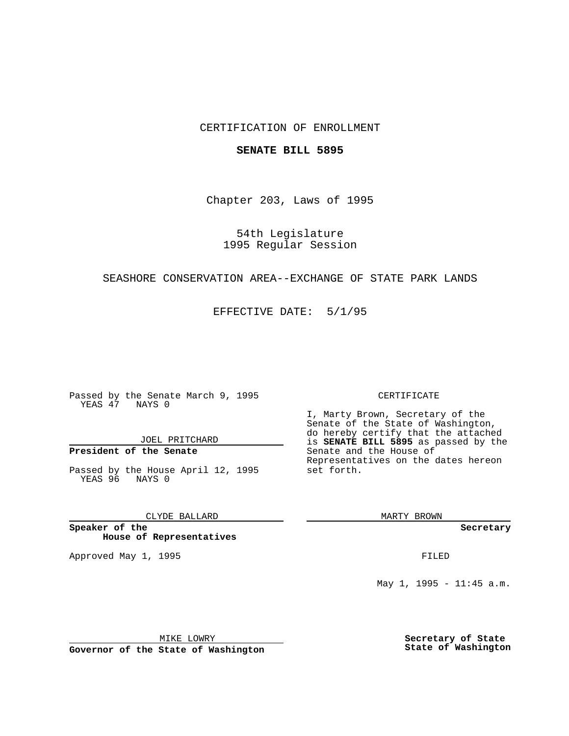### CERTIFICATION OF ENROLLMENT

#### **SENATE BILL 5895**

Chapter 203, Laws of 1995

54th Legislature 1995 Regular Session

#### SEASHORE CONSERVATION AREA--EXCHANGE OF STATE PARK LANDS

EFFECTIVE DATE: 5/1/95

Passed by the Senate March 9, 1995 YEAS 47 NAYS 0

JOEL PRITCHARD

## **President of the Senate**

Passed by the House April 12, 1995 YEAS 96 NAYS 0

CLYDE BALLARD

**Speaker of the House of Representatives**

Approved May 1, 1995 **FILED** 

#### CERTIFICATE

I, Marty Brown, Secretary of the Senate of the State of Washington, do hereby certify that the attached is **SENATE BILL 5895** as passed by the Senate and the House of Representatives on the dates hereon set forth.

MARTY BROWN

**Secretary**

May 1, 1995 - 11:45 a.m.

MIKE LOWRY

**Governor of the State of Washington**

**Secretary of State State of Washington**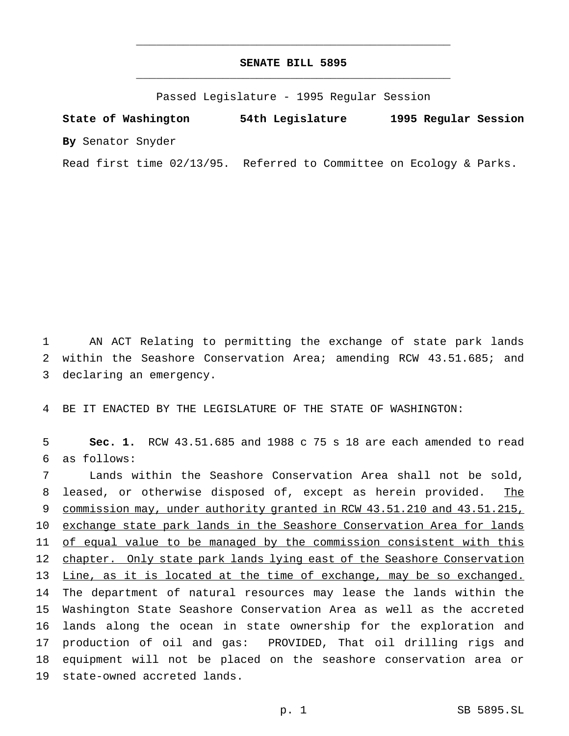# **SENATE BILL 5895** \_\_\_\_\_\_\_\_\_\_\_\_\_\_\_\_\_\_\_\_\_\_\_\_\_\_\_\_\_\_\_\_\_\_\_\_\_\_\_\_\_\_\_\_\_\_\_

\_\_\_\_\_\_\_\_\_\_\_\_\_\_\_\_\_\_\_\_\_\_\_\_\_\_\_\_\_\_\_\_\_\_\_\_\_\_\_\_\_\_\_\_\_\_\_

Passed Legislature - 1995 Regular Session

**State of Washington 54th Legislature 1995 Regular Session By** Senator Snyder

Read first time 02/13/95. Referred to Committee on Ecology & Parks.

 AN ACT Relating to permitting the exchange of state park lands within the Seashore Conservation Area; amending RCW 43.51.685; and declaring an emergency.

BE IT ENACTED BY THE LEGISLATURE OF THE STATE OF WASHINGTON:

 **Sec. 1.** RCW 43.51.685 and 1988 c 75 s 18 are each amended to read as follows:

 Lands within the Seashore Conservation Area shall not be sold, 8 leased, or otherwise disposed of, except as herein provided. The commission may, under authority granted in RCW 43.51.210 and 43.51.215, 10 exchange state park lands in the Seashore Conservation Area for lands of equal value to be managed by the commission consistent with this chapter. Only state park lands lying east of the Seashore Conservation Line, as it is located at the time of exchange, may be so exchanged. The department of natural resources may lease the lands within the Washington State Seashore Conservation Area as well as the accreted lands along the ocean in state ownership for the exploration and production of oil and gas: PROVIDED, That oil drilling rigs and equipment will not be placed on the seashore conservation area or state-owned accreted lands.